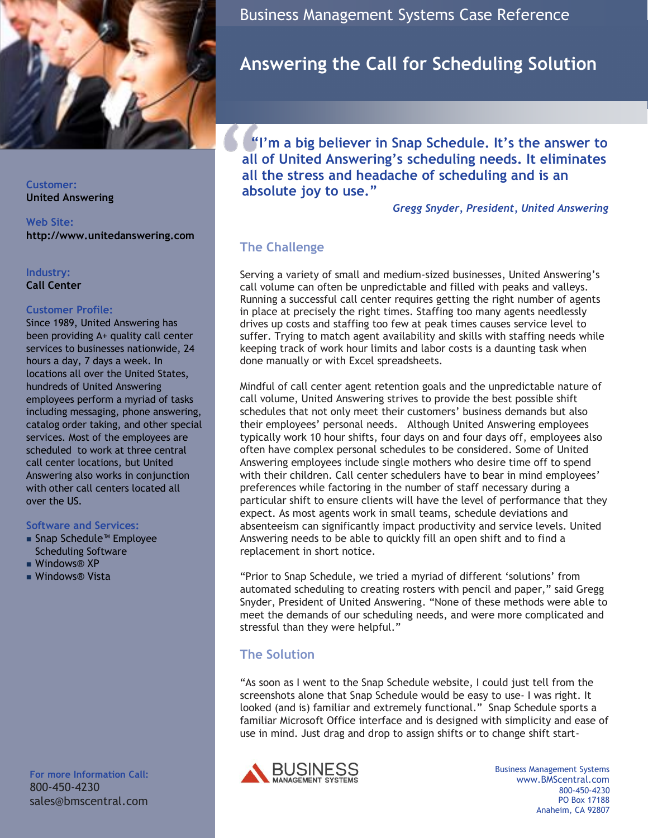

**Customer: United Answering**

**Web Site: http://www.unitedanswering.com**

### **Industry:**

**Call Center**

#### **Customer Profile:**

Since 1989, United Answering has been providing A+ quality call center services to businesses nationwide, 24 hours a day, 7 days a week. In locations all over the United States, hundreds of United Answering employees perform a myriad of tasks including messaging, phone answering, catalog order taking, and other special services. Most of the employees are scheduled to work at three central call center locations, but United Answering also works in conjunction with other call centers located all over the US.

#### **Software and Services:**

- Snap Schedule™ Employee [Scheduling Software](http://www.bmscentral.com/)
- Windows® XP
- Windows® Vista

**For more Information Call:** 800-450-4230 sales@bmscentral.com Business Management Systems Case Reference

# **Answering the Call for Scheduling Solution**

 **"I'm a big believer in Snap Schedule. It's the answer to all of United Answering's scheduling needs. It eliminates all the stress and headache of scheduling and is an absolute joy to use."** 

*Gregg Snyder, President, United Answering* 

# **The Challenge**

Serving a variety of small and medium-sized businesses, United Answering"s call volume can often be unpredictable and filled with peaks and valleys. Running a successful call center requires getting the right number of agents in place at precisely the right times. Staffing too many agents needlessly drives up costs and staffing too few at peak times causes service level to suffer. Trying to match agent availability and skills with staffing needs while keeping track of work hour limits and labor costs is a daunting task when done manually or with Excel spreadsheets.

Mindful of call center agent retention goals and the unpredictable nature of call volume, United Answering strives to provide the best possible shift schedules that not only meet their customers' business demands but also their employees" personal needs. Although United Answering employees typically work 10 hour shifts, four days on and four days off, employees also often have complex personal schedules to be considered. Some of United Answering employees include single mothers who desire time off to spend with their children. Call center schedulers have to bear in mind employees' preferences while factoring in the number of staff necessary during a particular shift to ensure clients will have the level of performance that they expect. As most agents work in small teams, schedule deviations and absenteeism can significantly impact productivity and service levels. United Answering needs to be able to quickly fill an open shift and to find a replacement in short notice.

"Prior to Snap Schedule, we tried a myriad of different "solutions" from automated scheduling to creating rosters with pencil and paper," said Gregg Snyder, President of United Answering. "None of these methods were able to meet the demands of our scheduling needs, and were more complicated and stressful than they were helpful."

# **The Solution**

"As soon as I went to the Snap Schedule website, I could just tell from the screenshots alone that Snap Schedule would be easy to use- I was right. It looked (and is) familiar and extremely functional." Snap Schedule sports a familiar Microsoft Office interface and is designed with simplicity and ease of use in mind. Just drag and drop to assign shifts or to change shift start-



Business Management Systems www.BMScentral.com 800-450-4230 PO Box 17188 Anaheim, CA 92807